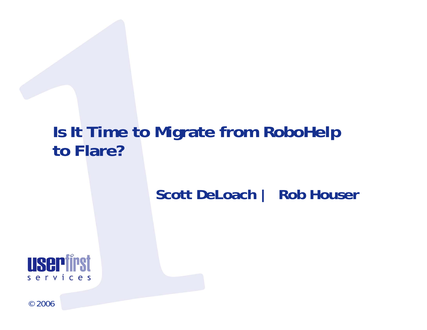## **Is It Time to Migrate from RoboHelp to Flare?**

### **Scott DeLoach | Rob Houser**

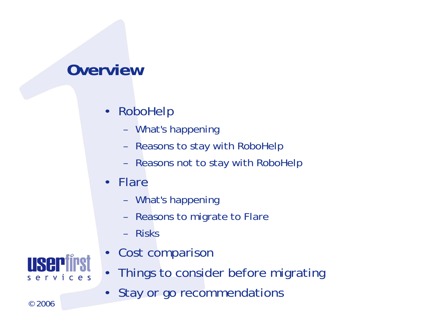## **Overview**

- • RoboHelp
	- –What's happening
	- –Reasons to stay with RoboHelp
	- –Reasons not to stay with RoboHelp
- • Flare
	- –What's happening
	- –Reasons to migrate to Flare
	- –Risks
- •Cost comparison
- •Things to consider before migrating
- •Stay or go recommendations

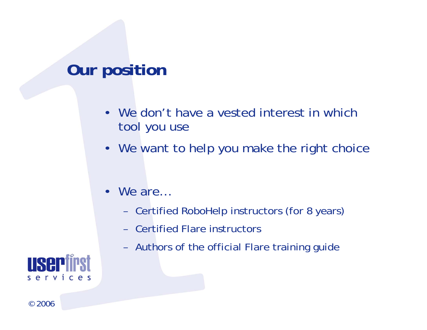## **Our position**

- We don't have a vested interest in which tool you use
- We want to help you make the right choice
- • We are…
	- –Certified RoboHelp instructors (for 8 years)
	- Certified Flare instructors
	- –Authors of the official Flare training guide

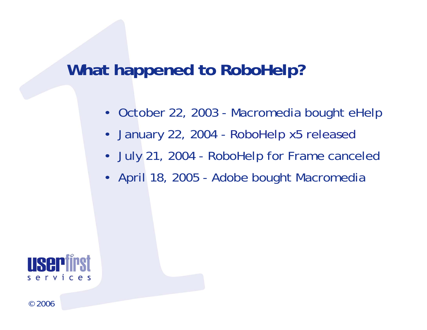## **What happened to RoboHelp?**

- October 22, 2003 Macromedia bought eHelp
- •January 22, 2004 - RoboHelp x5 released
- July 21, 2004 RoboHelp for Frame canceled
- April 18, 2005 Adobe bought Macromedia

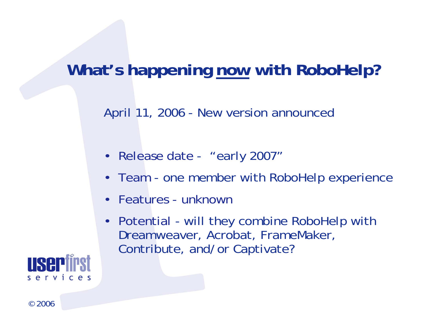## **What's happening now with RoboHelp?**

April 11, 2006 - New version announced

- Release date "early 2007"
- Team one member with RoboHelp experience
- $\bullet$ Features - unknown
- Potential will they combine RoboHelp with Dreamweaver, Acrobat, FrameMaker, Contribute, and/or Captivate?

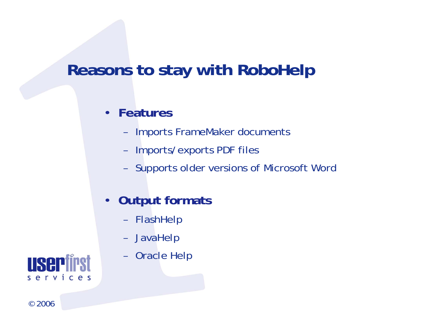## **Reasons to stay with RoboHelp**

#### •**Features**

- –Imports FrameMaker documents
- –Imports/exports PDF files
- –Supports older versions of Microsoft Word
- $\bullet$  **Output formats**
	- –FlashHelp
	- –JavaHelp
	- –Oracle Help

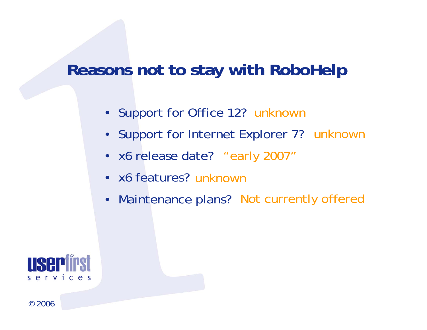## **Reasons not to stay with RoboHelp**

- Support for Office 12? unknown
- Support for Internet Explorer 7? unknown
- x6 release date? "early 2007"
- x6 features? unknown
- •Maintenance plans? Not currently offered

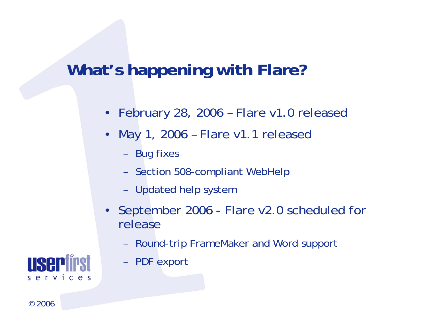## **What's happening with Flare?**

- •February 28, 2006 – Flare v1.0 released
- • May 1, 2006 – Flare v1.1 released
	- –Bug fixes
	- –Section 508-compliant WebHelp
	- –Updated help system
- • September 2006 - Flare v2.0 scheduled for release
	- –Round-trip FrameMaker and Word support
	- –PDF export

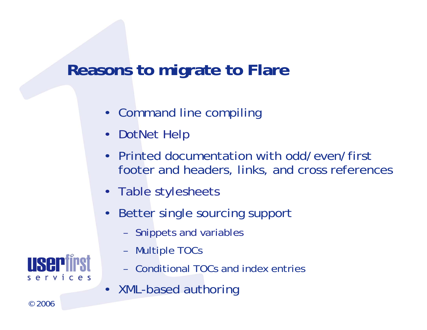## **Reasons to migrate to Flare**

- Command line compiling
- DotNet Help
- • Printed documentation with odd/even/first footer and headers, links, and cross references
- Table stylesheets
- • Better single sourcing support
	- –Snippets and variables
	- –Multiple TOCs
	- Conditional TOCs and index entries
- XML-based authoring

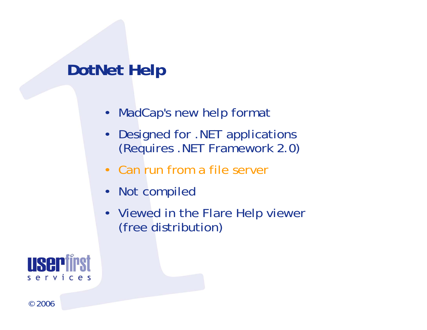## **DotNet Help**

- MadCap's new help format
- • Designed for .NET applications (Requires .NET Framework 2.0)
- Can run from a file server
- •Not compiled
- Viewed in the Flare Help viewer (free distribution)

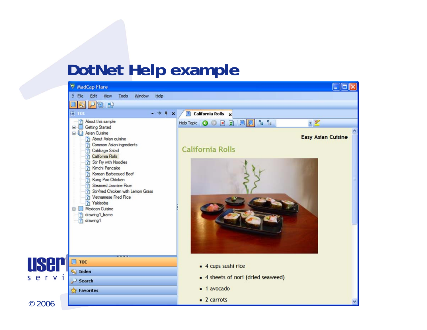## **DotNet Help example**

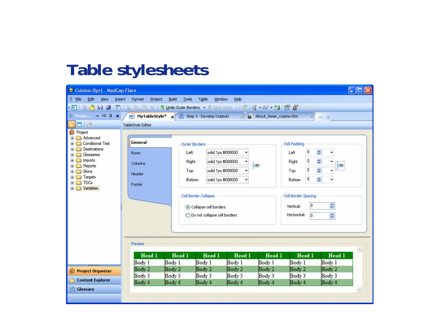## **Table stylesheets**

| Cuisine.flprj - MadCap Flare                                                                                                                                                            |                          |                                |                      |                   |                           |             | llo                   |  |
|-----------------------------------------------------------------------------------------------------------------------------------------------------------------------------------------|--------------------------|--------------------------------|----------------------|-------------------|---------------------------|-------------|-----------------------|--|
| <i>V</i> File<br>Edit<br>View                                                                                                                                                           | Insert Format<br>Project | Build<br>Tools                 | Table<br>Window      | Help              |                           |             |                       |  |
| * 5   2   3   3   3   X   2   2   3   2   4   5   2   4   4   5   2   4   5   6   1   5   X   4   5   X   5   2   1   5   6   1   5   1   5   1   5   1   5   1   5   1   5   1   5   1 |                          |                                |                      |                   |                           |             |                       |  |
| $\frac{1}{2}$ Project. $\bullet$ 1/2 Q x $\left(\frac{1}{2}\right)$ MyTableStyle* x 2 Step 3 - Develop Outputs x                                                                        |                          |                                |                      |                   | a About_Asian_cuisine.htm |             | W. 28                 |  |
| 日治                                                                                                                                                                                      | TableStyle Editor        |                                |                      |                   |                           |             |                       |  |
| Project                                                                                                                                                                                 |                          |                                |                      |                   |                           |             |                       |  |
| Advanced<br>Conditional Text                                                                                                                                                            | General                  | <b>Outer Borders</b>           |                      |                   |                           |             |                       |  |
| Destinations<br>Glossaries                                                                                                                                                              | <b>Rows</b>              | Left                           |                      | solid 1px #008000 |                           | 0<br>Left   | $\div$                |  |
| inports                                                                                                                                                                                 | Columns                  | Right:                         |                      | solid 1px #008000 |                           | 0<br>Right  | $\hat{\mathbf{v}}$    |  |
| <b>E</b> Reports                                                                                                                                                                        |                          |                                |                      | solid 1px #008000 | ‡ඏ                        | $\Omega$    | ł∞<br>÷               |  |
| Skins<br>Targets                                                                                                                                                                        | Header                   | Top:                           |                      |                   |                           | Top         |                       |  |
| <b>ED</b> TOCs                                                                                                                                                                          | Footer                   |                                | Bottom:              | solid 1px #008000 |                           | 0<br>Bottom | ÷                     |  |
| Variables                                                                                                                                                                               |                          |                                |                      |                   |                           |             |                       |  |
|                                                                                                                                                                                         |                          |                                | Cell Border Collapse |                   |                           |             | Cell Border Spacing   |  |
|                                                                                                                                                                                         |                          | Collapse cell borders          |                      |                   |                           | Vertical:   | $\ddot{\bullet}$<br>O |  |
|                                                                                                                                                                                         |                          | O Do not collapse cell borders |                      |                   |                           | Horizontal: | $ 0\rangle$           |  |
|                                                                                                                                                                                         |                          |                                |                      |                   |                           |             | $\ddot{\bullet}$      |  |
|                                                                                                                                                                                         |                          |                                |                      |                   |                           |             |                       |  |
|                                                                                                                                                                                         |                          |                                |                      |                   |                           |             |                       |  |
|                                                                                                                                                                                         | Preview                  |                                |                      |                   |                           |             |                       |  |
|                                                                                                                                                                                         |                          |                                |                      |                   |                           |             |                       |  |
|                                                                                                                                                                                         | Head 1                   | Head 1                         | Head 1               | Head 1            | Head 1                    | Head 1      | Head 1                |  |
|                                                                                                                                                                                         | Body 1                   | Body 1                         | Body 1               | Body 1            | Body 1                    | Body 1      | Body 1                |  |
| <b>Project Organizer</b>                                                                                                                                                                | Body 2                   | Body 2                         | Body 2               | Body 2            | Body 2                    | Body 2      | Body 2                |  |
| <b>Content Explorer</b>                                                                                                                                                                 | Body 3                   | Body 3                         | Body 3               | Body 3            | Body 3<br>Body 4          | Body 3      | Body 3<br>Body 4      |  |
|                                                                                                                                                                                         | Body 4                   | Body 4                         | Body 4               | Body 4            |                           | Body 4      |                       |  |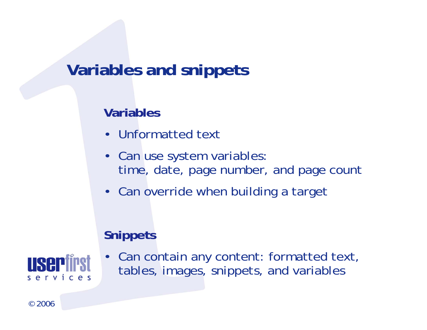## **Variables and snippets**

#### **Variables**

- Unformatted text
- Can use system variables: time, date, page number, and page count
- Can override when building a target

#### **Snippets**



• Can contain any content: formatted text, tables, images, snippets, and variables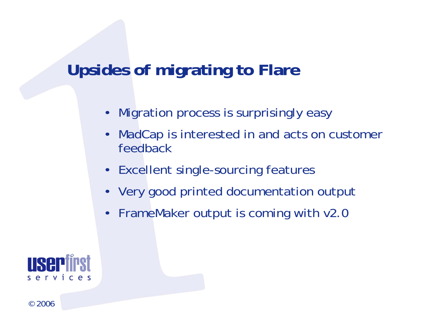## **Upsides of migrating to Flare**

- Migration process is surprisingly easy
- • MadCap is interested in and acts on customer feedback
- Excellent single-sourcing features
- Very good printed documentation output
- FrameMaker output is coming with v2.0

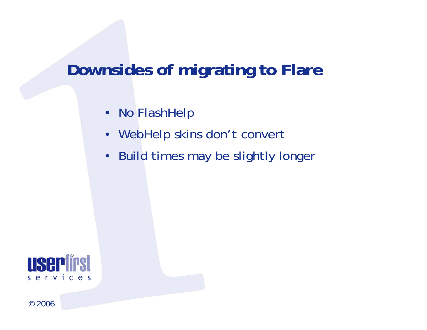## **Downsides of migrating to Flare**

- No FlashHelp
- •WebHelp skins don't convert
- Build times may be slightly longer

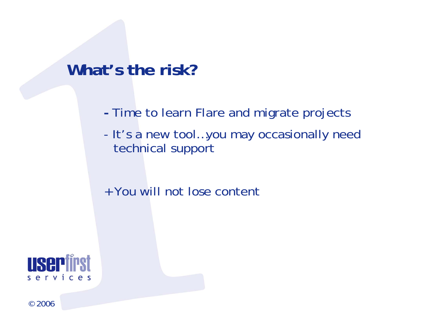### **What's the risk?**

- **-**- Time to learn Flare and migrate projects
- - It's a new tool…you may occasionally need technical support
- + You will not lose content

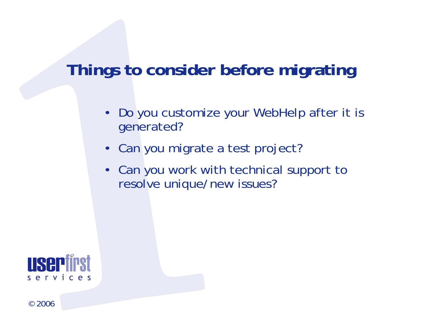## **Things to consider before migrating**

- • Do you customize your WebHelp after it is generated?
- Can you migrate a test project?
- Can you work with technical support to resolve unique/new issues?

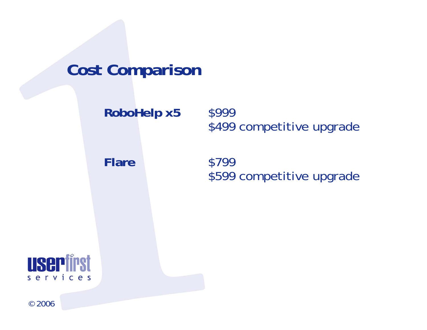## **Cost Comparison**

**RoboHelp x5** \$999 \$499 competitive upgrade

**Flare** \$799 \$599 competitive upgrade

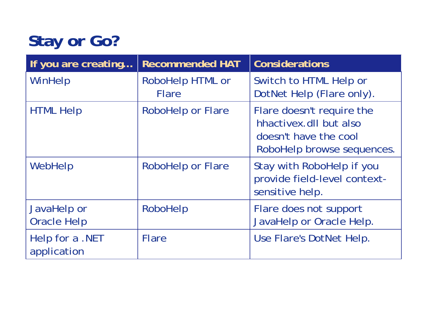# **Stay or Go?**

| If you are creating               | <b>Recommended HAT</b>           | <b>Considerations</b>                                                                                      |
|-----------------------------------|----------------------------------|------------------------------------------------------------------------------------------------------------|
| WinHelp                           | RoboHelp HTML or<br><b>Flare</b> | Switch to HTML Help or<br>DotNet Help (Flare only).                                                        |
| <b>HTML Help</b>                  | <b>RoboHelp or Flare</b>         | Flare doesn't require the<br>hhactivex.dll but also<br>doesn't have the cool<br>RoboHelp browse sequences. |
| WebHelp                           | <b>RoboHelp or Flare</b>         | Stay with RoboHelp if you<br>provide field-level context-<br>sensitive help.                               |
| JavaHelp or<br><b>Oracle Help</b> | RoboHelp                         | Flare does not support<br>JavaHelp or Oracle Help.                                                         |
| Help for a .NET<br>application    | <b>Flare</b>                     | Use Flare's DotNet Help.                                                                                   |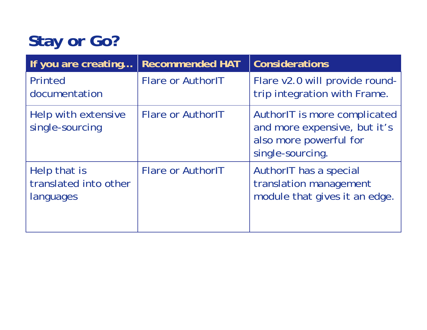# **Stay or Go?**

| If you are creating                                | <b>Recommended HAT</b>   | <b>Considerations</b>                                                                                      |
|----------------------------------------------------|--------------------------|------------------------------------------------------------------------------------------------------------|
| Printed<br>documentation                           | <b>Flare or AuthorlT</b> | Flare v2.0 will provide round-<br>trip integration with Frame.                                             |
| Help with extensive<br>single-sourcing             | <b>Flare or AuthorlT</b> | AuthorIT is more complicated<br>and more expensive, but it's<br>also more powerful for<br>single-sourcing. |
| Help that is<br>translated into other<br>languages | <b>Flare or AuthorlT</b> | AuthorIT has a special<br>translation management<br>module that gives it an edge.                          |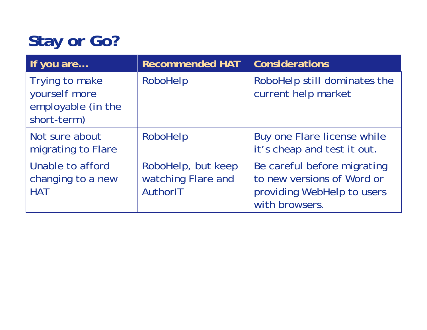# **Stay or Go?**

| If you are                                                           | <b>Recommended HAT</b>                               | <b>Considerations</b>                                                                                     |  |
|----------------------------------------------------------------------|------------------------------------------------------|-----------------------------------------------------------------------------------------------------------|--|
| Trying to make<br>yourself more<br>employable (in the<br>short-term) | RoboHelp                                             | RoboHelp still dominates the<br>current help market                                                       |  |
| Not sure about<br>migrating to Flare                                 | RoboHelp                                             | Buy one Flare license while<br>it's cheap and test it out.                                                |  |
| Unable to afford<br>changing to a new<br><b>HAT</b>                  | RoboHelp, but keep<br>watching Flare and<br>AuthorIT | Be careful before migrating<br>to new versions of Word or<br>providing WebHelp to users<br>with browsers. |  |